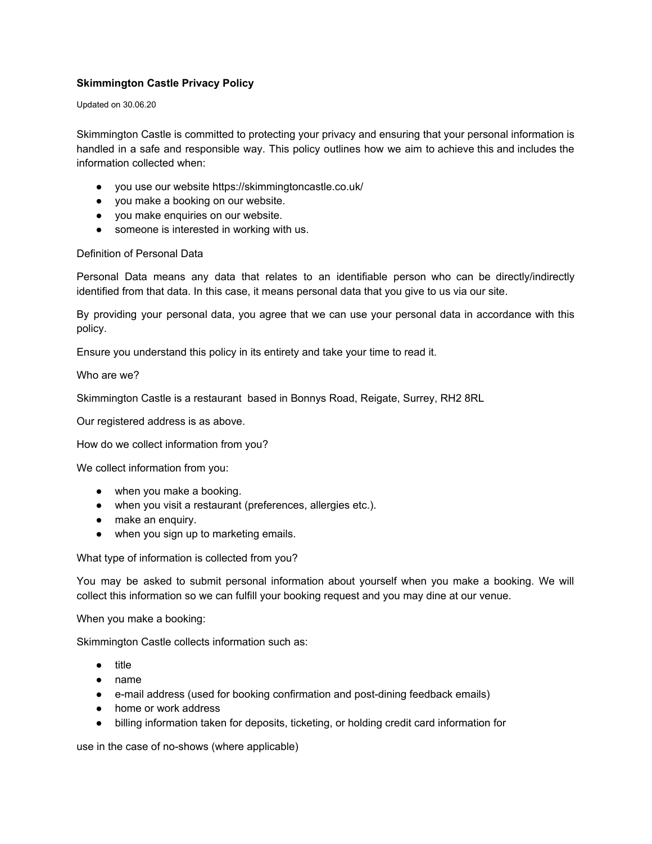# **Skimmington Castle Privacy Policy**

#### Updated on 30.06.20

Skimmington Castle is committed to protecting your privacy and ensuring that your personal information is handled in a safe and responsible way. This policy outlines how we aim to achieve this and includes the information collected when:

- you use our website https://skimmingtoncastle.co.uk/
- you make a booking on our website.
- you make enquiries on our website.
- someone is interested in working with us.

#### Definition of Personal Data

Personal Data means any data that relates to an identifiable person who can be directly/indirectly identified from that data. In this case, it means personal data that you give to us via our site.

By providing your personal data, you agree that we can use your personal data in accordance with this policy.

Ensure you understand this policy in its entirety and take your time to read it.

Who are we?

Skimmington Castle is a restaurant based in Bonnys Road, Reigate, Surrey, RH2 8RL

Our registered address is as above.

How do we collect information from you?

We collect information from you:

- when you make a booking.
- when you visit a restaurant (preferences, allergies etc.).
- make an enquiry.
- when you sign up to marketing emails.

What type of information is collected from you?

You may be asked to submit personal information about yourself when you make a booking. We will collect this information so we can fulfill your booking request and you may dine at our venue.

When you make a booking:

Skimmington Castle collects information such as:

- title
- name
- e-mail address (used for booking confirmation and post-dining feedback emails)
- home or work address
- billing information taken for deposits, ticketing, or holding credit card information for

use in the case of no-shows (where applicable)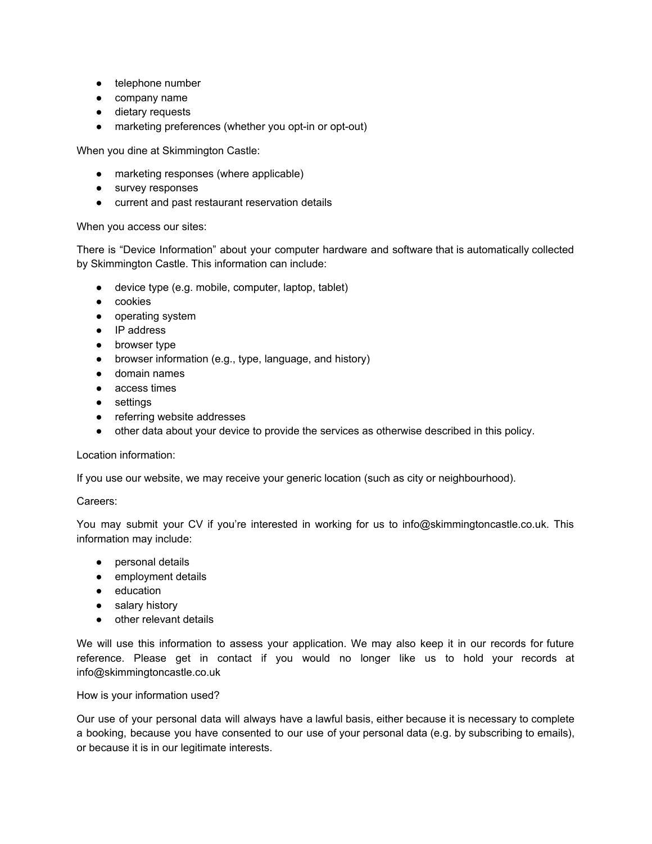- telephone number
- company name
- dietary requests
- marketing preferences (whether you opt-in or opt-out)

When you dine at Skimmington Castle:

- marketing responses (where applicable)
- survey responses
- current and past restaurant reservation details

## When you access our sites:

There is "Device Information" about your computer hardware and software that is automatically collected by Skimmington Castle. This information can include:

- device type (e.g. mobile, computer, laptop, tablet)
- cookies
- operating system
- IP address
- browser type
- browser information (e.g., type, language, and history)
- domain names
- access times
- settings
- referring website addresses
- other data about your device to provide the services as otherwise described in this policy.

# Location information:

If you use our website, we may receive your generic location (such as city or neighbourhood).

# Careers:

You may submit your CV if you're interested in working for us to info@skimmingtoncastle.co.uk. This information may include:

- personal details
- employment details
- education
- salary history
- other relevant details

We will use this information to assess your application. We may also keep it in our records for future reference. Please get in contact if you would no longer like us to hold your records at info@skimmingtoncastle.co.uk

# How is your information used?

Our use of your personal data will always have a lawful basis, either because it is necessary to complete a booking, because you have consented to our use of your personal data (e.g. by subscribing to emails), or because it is in our legitimate interests.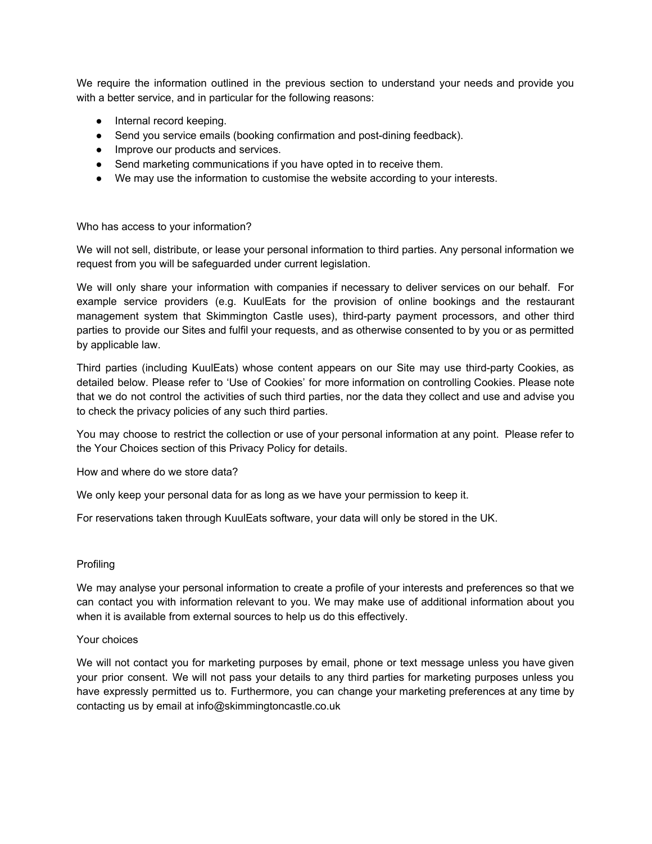We require the information outlined in the previous section to understand your needs and provide you with a better service, and in particular for the following reasons:

- Internal record keeping.
- Send you service emails (booking confirmation and post-dining feedback).
- Improve our products and services.
- Send marketing communications if you have opted in to receive them.
- We may use the information to customise the website according to your interests.

## Who has access to your information?

We will not sell, distribute, or lease your personal information to third parties. Any personal information we request from you will be safeguarded under current legislation.

We will only share your information with companies if necessary to deliver services on our behalf. For example service providers (e.g. KuulEats for the provision of online bookings and the restaurant management system that Skimmington Castle uses), third-party payment processors, and other third parties to provide our Sites and fulfil your requests, and as otherwise consented to by you or as permitted by applicable law.

Third parties (including KuulEats) whose content appears on our Site may use third-party Cookies, as detailed below. Please refer to 'Use of Cookies' for more information on controlling Cookies. Please note that we do not control the activities of such third parties, nor the data they collect and use and advise you to check the privacy policies of any such third parties.

You may choose to restrict the collection or use of your personal information at any point. Please refer to the Your Choices section of this Privacy Policy for details.

How and where do we store data?

We only keep your personal data for as long as we have your permission to keep it.

For reservations taken through KuulEats software, your data will only be stored in the UK.

#### Profiling

We may analyse your personal information to create a profile of your interests and preferences so that we can contact you with information relevant to you. We may make use of additional information about you when it is available from external sources to help us do this effectively.

## Your choices

We will not contact you for marketing purposes by email, phone or text message unless you have given your prior consent. We will not pass your details to any third parties for marketing purposes unless you have expressly permitted us to. Furthermore, you can change your marketing preferences at any time by contacting us by email at info@skimmingtoncastle.co.uk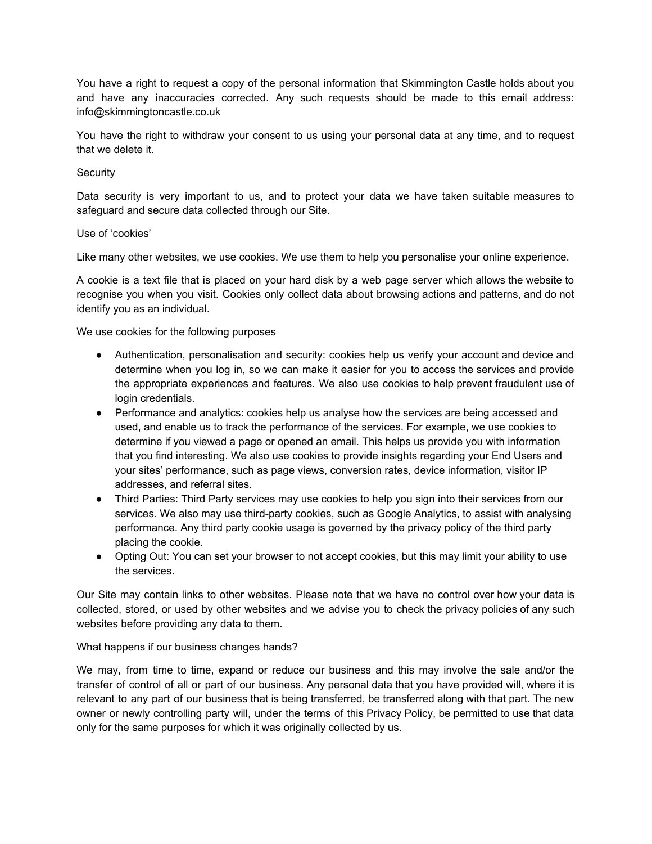You have a right to request a copy of the personal information that Skimmington Castle holds about you and have any inaccuracies corrected. Any such requests should be made to this email address: info@skimmingtoncastle.co.uk

You have the right to withdraw your consent to us using your personal data at any time, and to request that we delete it.

## **Security**

Data security is very important to us, and to protect your data we have taken suitable measures to safeguard and secure data collected through our Site.

## Use of 'cookies'

Like many other websites, we use cookies. We use them to help you personalise your online experience.

A cookie is a text file that is placed on your hard disk by a web page server which allows the website to recognise you when you visit. Cookies only collect data about browsing actions and patterns, and do not identify you as an individual.

We use cookies for the following purposes

- Authentication, personalisation and security: cookies help us verify your account and device and determine when you log in, so we can make it easier for you to access the services and provide the appropriate experiences and features. We also use cookies to help prevent fraudulent use of login credentials.
- Performance and analytics: cookies help us analyse how the services are being accessed and used, and enable us to track the performance of the services. For example, we use cookies to determine if you viewed a page or opened an email. This helps us provide you with information that you find interesting. We also use cookies to provide insights regarding your End Users and your sites' performance, such as page views, conversion rates, device information, visitor IP addresses, and referral sites.
- Third Parties: Third Party services may use cookies to help you sign into their services from our services. We also may use third-party cookies, such as Google Analytics, to assist with analysing performance. Any third party cookie usage is governed by the privacy policy of the third party placing the cookie.
- Opting Out: You can set your browser to not accept cookies, but this may limit your ability to use the services.

Our Site may contain links to other websites. Please note that we have no control over how your data is collected, stored, or used by other websites and we advise you to check the privacy policies of any such websites before providing any data to them.

#### What happens if our business changes hands?

We may, from time to time, expand or reduce our business and this may involve the sale and/or the transfer of control of all or part of our business. Any personal data that you have provided will, where it is relevant to any part of our business that is being transferred, be transferred along with that part. The new owner or newly controlling party will, under the terms of this Privacy Policy, be permitted to use that data only for the same purposes for which it was originally collected by us.